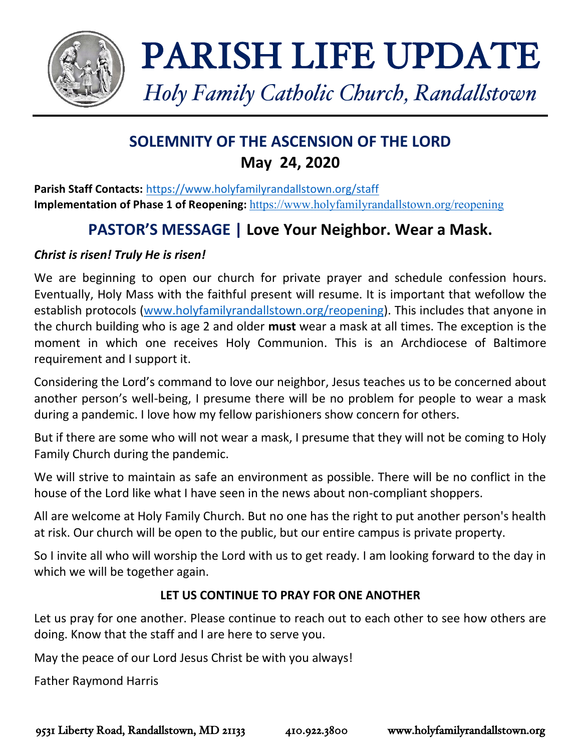

# PARISH LIFE UPDATE

*Holy Family Catholic Church, Randallstown*

# **SOLEMNITY OF THE ASCENSION OF THE LORD May 24, 2020**

**Parish Staff Contacts:** <https://www.holyfamilyrandallstown.org/staff> **Implementation of Phase 1 of Reopening:** <https://www.holyfamilyrandallstown.org/reopening>

# **PASTOR'S MESSAGE | Love Your Neighbor. Wear a Mask.**

# *Christ is risen! Truly He is risen!*

We are beginning to open our church for private prayer and schedule confession hours. Eventually, Holy Mass with the faithful present will resume. It is important that wefollow the establish protocols [\(www.holyfamilyrandallstown.org/reopening\)](http://www.holyfamilyrandallstown.org/reopening). This includes that anyone in the church building who is age 2 and older **must** wear a mask at all times. The exception is the moment in which one receives Holy Communion. This is an Archdiocese of Baltimore requirement and I support it.

Considering the Lord's command to love our neighbor, Jesus teaches us to be concerned about another person's well-being, I presume there will be no problem for people to wear a mask during a pandemic. I love how my fellow parishioners show concern for others.

But if there are some who will not wear a mask, I presume that they will not be coming to Holy Family Church during the pandemic.

We will strive to maintain as safe an environment as possible. There will be no conflict in the house of the Lord like what I have seen in the news about non-compliant shoppers.

All are welcome at Holy Family Church. But no one has the right to put another person's health at risk. Our church will be open to the public, but our entire campus is private property.

So I invite all who will worship the Lord with us to get ready. I am looking forward to the day in which we will be together again.

# **LET US CONTINUE TO PRAY FOR ONE ANOTHER**

Let us pray for one another. Please continue to reach out to each other to see how others are doing. Know that the staff and I are here to serve you.

May the peace of our Lord Jesus Christ be with you always!

Father Raymond Harris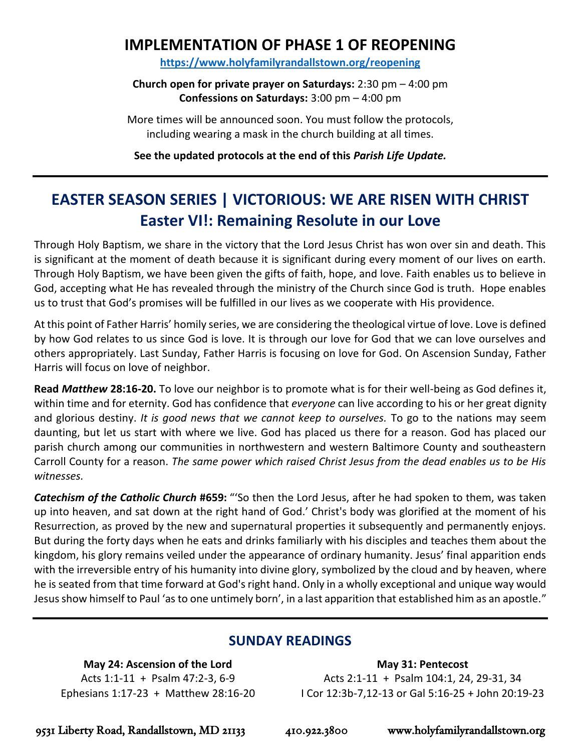# **IMPLEMENTATION OF PHASE 1 OF REOPENING**

**<https://www.holyfamilyrandallstown.org/reopening>**

**Church open for private prayer on Saturdays:** 2:30 pm – 4:00 pm **Confessions on Saturdays:** 3:00 pm – 4:00 pm

More times will be announced soon. You must follow the protocols, including wearing a mask in the church building at all times.

**See the updated protocols at the end of this** *Parish Life Update.*

# **EASTER SEASON SERIES | VICTORIOUS: WE ARE RISEN WITH CHRIST Easter VI!: Remaining Resolute in our Love**

Through Holy Baptism, we share in the victory that the Lord Jesus Christ has won over sin and death. This is significant at the moment of death because it is significant during every moment of our lives on earth. Through Holy Baptism, we have been given the gifts of faith, hope, and love. Faith enables us to believe in God, accepting what He has revealed through the ministry of the Church since God is truth. Hope enables us to trust that God's promises will be fulfilled in our lives as we cooperate with His providence.

At this point of Father Harris' homily series, we are considering the theological virtue of love. Love is defined by how God relates to us since God is love. It is through our love for God that we can love ourselves and others appropriately. Last Sunday, Father Harris is focusing on love for God. On Ascension Sunday, Father Harris will focus on love of neighbor.

**Read** *Matthew* **28:16-20.** To love our neighbor is to promote what is for their well-being as God defines it, within time and for eternity. God has confidence that *everyone* can live according to his or her great dignity and glorious destiny. *It is good news that we cannot keep to ourselves.* To go to the nations may seem daunting, but let us start with where we live. God has placed us there for a reason. God has placed our parish church among our communities in northwestern and western Baltimore County and southeastern Carroll County for a reason. *The same power which raised Christ Jesus from the dead enables us to be His witnesses.*

*Catechism of the Catholic Church* **#659:** "'So then the Lord Jesus, after he had spoken to them, was taken up into heaven, and sat down at the right hand of God.' Christ's body was glorified at the moment of his Resurrection, as proved by the new and supernatural properties it subsequently and permanently enjoys. But during the forty days when he eats and drinks familiarly with his disciples and teaches them about the kingdom, his glory remains veiled under the appearance of ordinary humanity. Jesus' final apparition ends with the irreversible entry of his humanity into divine glory, symbolized by the cloud and by heaven, where he is seated from that time forward at God's right hand. Only in a wholly exceptional and unique way would Jesus show himself to Paul 'as to one untimely born', in a last apparition that established him as an apostle."

# **SUNDAY READINGS**

**May 24: Ascension of the Lord** Acts 1:1-11 + Psalm 47:2-3, 6-9 Ephesians 1:17-23 + Matthew 28:16-20

**May 31: Pentecost** Acts 2:1-11 + Psalm 104:1, 24, 29-31, 34 I Cor 12:3b-7,12-13 or Gal 5:16-25 + John 20:19-23

9531 Liberty Road, Randallstown, MD 21133 410.922.3800 www.holyfamilyrandallstown.org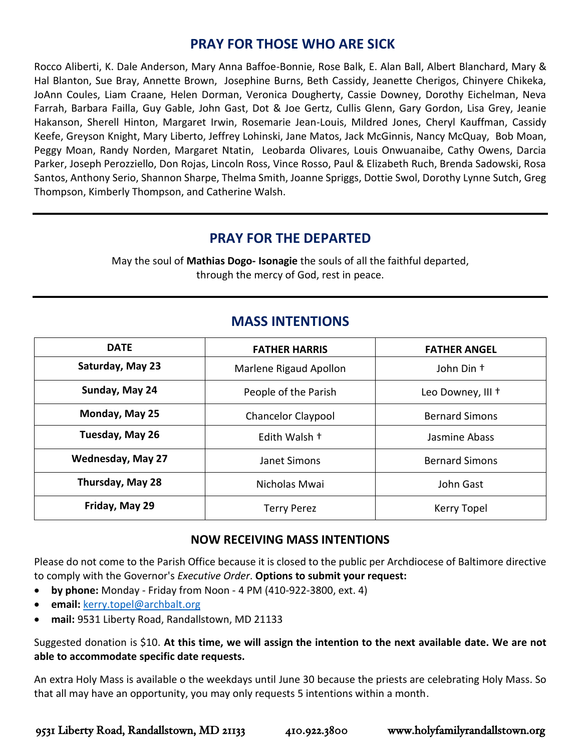# **PRAY FOR THOSE WHO ARE SICK**

Rocco Aliberti, K. Dale Anderson, Mary Anna Baffoe-Bonnie, Rose Balk, E. Alan Ball, Albert Blanchard, Mary & Hal Blanton, Sue Bray, Annette Brown, Josephine Burns, Beth Cassidy, Jeanette Cherigos, Chinyere Chikeka, JoAnn Coules, Liam Craane, Helen Dorman, Veronica Dougherty, Cassie Downey, Dorothy Eichelman, Neva Farrah, Barbara Failla, Guy Gable, John Gast, Dot & Joe Gertz, Cullis Glenn, Gary Gordon, Lisa Grey, Jeanie Hakanson, Sherell Hinton, Margaret Irwin, Rosemarie Jean-Louis, Mildred Jones, Cheryl Kauffman, Cassidy Keefe, Greyson Knight, Mary Liberto, Jeffrey Lohinski, Jane Matos, Jack McGinnis, Nancy McQuay, Bob Moan, Peggy Moan, Randy Norden, Margaret Ntatin, Leobarda Olivares, Louis Onwuanaibe, Cathy Owens, Darcia Parker, Joseph Perozziello, Don Rojas, Lincoln Ross, Vince Rosso, Paul & Elizabeth Ruch, Brenda Sadowski, Rosa Santos, Anthony Serio, Shannon Sharpe, Thelma Smith, Joanne Spriggs, Dottie Swol, Dorothy Lynne Sutch, Greg Thompson, Kimberly Thompson, and Catherine Walsh.

# **PRAY FOR THE DEPARTED**

May the soul of **Mathias Dogo- Isonagie** the souls of all the faithful departed, through the mercy of God, rest in peace.

# **MASS INTENTIONS**

| <b>DATE</b>              | <b>FATHER HARRIS</b>                               | <b>FATHER ANGEL</b>   |
|--------------------------|----------------------------------------------------|-----------------------|
| Saturday, May 23         | Marlene Rigaud Apollon                             | John Din +            |
| Sunday, May 24           | People of the Parish<br>Leo Downey, III +          |                       |
| Monday, May 25           | <b>Chancelor Claypool</b><br><b>Bernard Simons</b> |                       |
| Tuesday, May 26          | Edith Walsh +                                      | Jasmine Abass         |
| <b>Wednesday, May 27</b> | Janet Simons                                       | <b>Bernard Simons</b> |
| Thursday, May 28         | Nicholas Mwai                                      | John Gast             |
| Friday, May 29           | <b>Terry Perez</b>                                 | Kerry Topel           |

#### **NOW RECEIVING MASS INTENTIONS**

Please do not come to the Parish Office because it is closed to the public per Archdiocese of Baltimore directive to comply with the Governor's *Executive Order*. **Options to submit your request:**

- **by phone:** Monday Friday from Noon 4 PM (410-922-3800, ext. 4)
- **email:** [kerry.topel@archbalt.org](mailto:kerry.topel@archbalt.org)
- **mail:** 9531 Liberty Road, Randallstown, MD 21133

Suggested donation is \$10. **At this time, we will assign the intention to the next available date. We are not able to accommodate specific date requests.**

An extra Holy Mass is available o the weekdays until June 30 because the priests are celebrating Holy Mass. So that all may have an opportunity, you may only requests 5 intentions within a month.

9531 Liberty Road, Randallstown, MD 21133 410.922.3800 www.holyfamilyrandallstown.org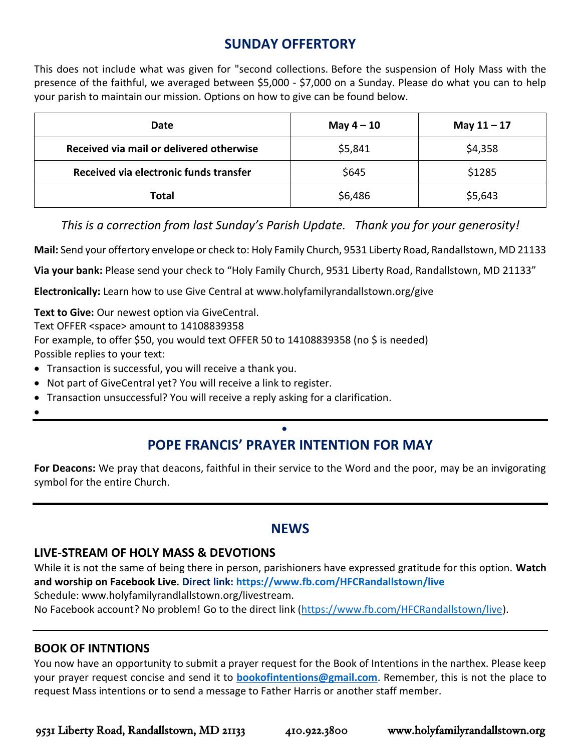# **SUNDAY OFFERTORY**

This does not include what was given for "second collections. Before the suspension of Holy Mass with the presence of the faithful, we averaged between \$5,000 - \$7,000 on a Sunday. Please do what you can to help your parish to maintain our mission. Options on how to give can be found below.

| Date                                     | May $4-10$ | May $11 - 17$ |
|------------------------------------------|------------|---------------|
| Received via mail or delivered otherwise | \$5,841    | \$4,358       |
| Received via electronic funds transfer   | \$645      | \$1285        |
| <b>Total</b>                             | \$6,486    | \$5,643       |

*This is a correction from last Sunday's Parish Update. Thank you for your generosity!*

**Mail:** Send your offertory envelope or check to: Holy Family Church, 9531 Liberty Road, Randallstown, MD 21133

**Via your bank:** Please send your check to "Holy Family Church, 9531 Liberty Road, Randallstown, MD 21133"

**Electronically:** Learn how to use Give Central at www.holyfamilyrandallstown.org/give

**Text to Give:** Our newest option via GiveCentral.

Text OFFER <space> amount to 14108839358

For example, to offer \$50, you would text OFFER 50 to 14108839358 (no \$ is needed)

Possible replies to your text:

- Transaction is successful, you will receive a thank you.
- Not part of GiveCentral yet? You will receive a link to register.
- Transaction unsuccessful? You will receive a reply asking for a clarification.
- •

## • **POPE FRANCIS' PRAYER INTENTION FOR MAY**

**For Deacons:** We pray that deacons, faithful in their service to the Word and the poor, may be an invigorating symbol for the entire Church.

# **NEWS**

#### **LIVE-STREAM OF HOLY MASS & DEVOTIONS**

While it is not the same of being there in person, parishioners have expressed gratitude for this option. **Watch and worship on Facebook Live. Direct link:<https://www.fb.com/HFCRandallstown/live>** Schedule: www.holyfamilyrandlallstown.org/livestream.

No Facebook account? No problem! Go to the direct link [\(https://www.fb.com/HFCRandallstown/live\)](https://www.fb.com/HFCRandallstown/live).

#### **BOOK OF INTNTIONS**

You now have an opportunity to submit a prayer request for the Book of Intentions in the narthex. Please keep your prayer request concise and send it to **[bookofintentions@gmail.com](mailto:bookofintentions@gmail.com)**. Remember, this is not the place to request Mass intentions or to send a message to Father Harris or another staff member.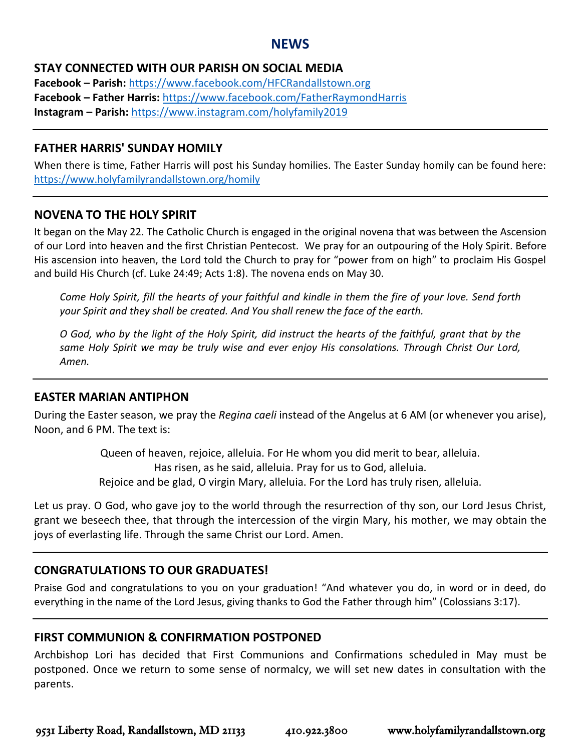#### **NEWS**

#### **STAY CONNECTED WITH OUR PARISH ON SOCIAL MEDIA**

**Facebook – Parish:** <https://www.facebook.com/HFCRandallstown.org> **Facebook – Father Harris:** <https://www.facebook.com/FatherRaymondHarris> **Instagram – Parish:** <https://www.instagram.com/holyfamily2019>

#### **FATHER HARRIS' SUNDAY HOMILY**

When there is time, Father Harris will post his Sunday homilies. The Easter Sunday homily can be found here: <https://www.holyfamilyrandallstown.org/homily>

#### **NOVENA TO THE HOLY SPIRIT**

It began on the May 22. The Catholic Church is engaged in the original novena that was between the Ascension of our Lord into heaven and the first Christian Pentecost. We pray for an outpouring of the Holy Spirit. Before His ascension into heaven, the Lord told the Church to pray for "power from on high" to proclaim His Gospel and build His Church (cf. Luke 24:49; Acts 1:8). The novena ends on May 30.

*Come Holy Spirit, fill the hearts of your faithful and kindle in them the fire of your love. Send forth your Spirit and they shall be created. And You shall renew the face of the earth.* 

*O God, who by the light of the Holy Spirit, did instruct the hearts of the faithful, grant that by the same Holy Spirit we may be truly wise and ever enjoy His consolations. Through Christ Our Lord, Amen.*

#### **EASTER MARIAN ANTIPHON**

During the Easter season, we pray the *Regina caeli* instead of the Angelus at 6 AM (or whenever you arise), Noon, and 6 PM. The text is:

> Queen of heaven, rejoice, alleluia. For He whom you did merit to bear, alleluia. Has risen, as he said, alleluia. Pray for us to God, alleluia. Rejoice and be glad, O virgin Mary, alleluia. For the Lord has truly risen, alleluia.

Let us pray. O God, who gave joy to the world through the resurrection of thy son, our Lord Jesus Christ, grant we beseech thee, that through the intercession of the virgin Mary, his mother, we may obtain the joys of everlasting life. Through the same Christ our Lord. Amen.

#### **CONGRATULATIONS TO OUR GRADUATES!**

Praise God and congratulations to you on your graduation! "And whatever you do, in word or in deed, do everything in the name of the Lord Jesus, giving thanks to God the Father through him" (Colossians 3:17).

#### **FIRST COMMUNION & CONFIRMATION POSTPONED**

Archbishop Lori has decided that First Communions and Confirmations scheduled in May must be postponed. Once we return to some sense of normalcy, we will set new dates in consultation with the parents.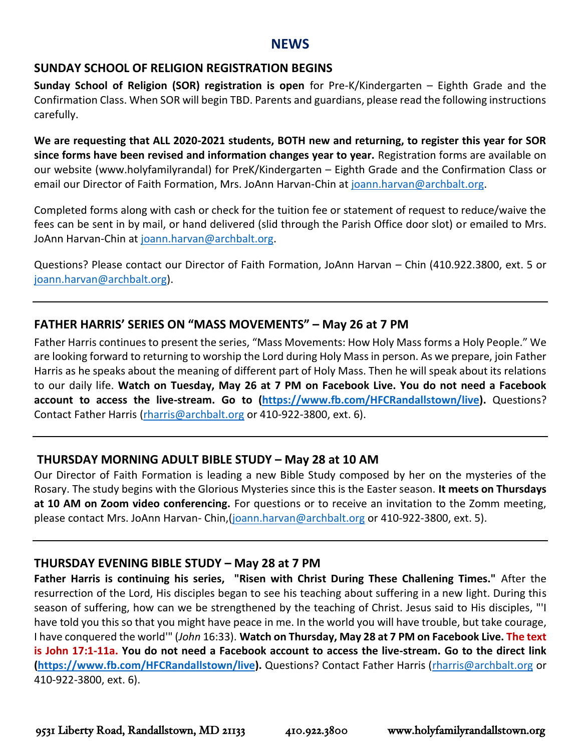#### **NEWS**

#### **SUNDAY SCHOOL OF RELIGION REGISTRATION BEGINS**

**Sunday School of Religion (SOR) registration is open** for Pre-K/Kindergarten – Eighth Grade and the Confirmation Class. When SOR will begin TBD. Parents and guardians, please read the following instructions carefully.

**We are requesting that ALL 2020-2021 students, BOTH new and returning, to register this year for SOR since forms have been revised and information changes year to year.** Registration forms are available on our website (www.holyfamilyrandal) for PreK/Kindergarten – Eighth Grade and the Confirmation Class or email our Director of Faith Formation, Mrs. JoAnn Harvan-Chin at [joann.harvan@archbalt.org.](mailto:joann.harvan@archbalt.org)

Completed forms along with cash or check for the tuition fee or statement of request to reduce/waive the fees can be sent in by mail, or hand delivered (slid through the Parish Office door slot) or emailed to Mrs. JoAnn Harvan-Chin at [joann.harvan@archbalt.org.](mailto:joann.harvan@archbalt.org)

Questions? Please contact our Director of Faith Formation, JoAnn Harvan – Chin (410.922.3800, ext. 5 or [joann.harvan@archbalt.org\)](mailto:joann.harvan@archbalt.org).

#### **FATHER HARRIS' SERIES ON "MASS MOVEMENTS" – May 26 at 7 PM**

Father Harris continues to present the series, "Mass Movements: How Holy Mass forms a Holy People." We are looking forward to returning to worship the Lord during Holy Mass in person. As we prepare, join Father Harris as he speaks about the meaning of different part of Holy Mass. Then he will speak about its relations to our daily life. **Watch on Tuesday, May 26 at 7 PM on Facebook Live. You do not need a Facebook account to access the live-stream. Go to [\(https://www.fb.com/HFCRandallstown/live\)](https://www.fb.com/HFCRandallstown/live).** Questions? Contact Father Harris [\(rharris@archbalt.org](mailto:rharris@archbalt.org) or 410-922-3800, ext. 6).

#### **THURSDAY MORNING ADULT BIBLE STUDY – May 28 at 10 AM**

Our Director of Faith Formation is leading a new Bible Study composed by her on the mysteries of the Rosary. The study begins with the Glorious Mysteries since this is the Easter season. **It meets on Thursdays at 10 AM on Zoom video conferencing.** For questions or to receive an invitation to the Zomm meeting, please contact Mrs. JoAnn Harvan- Chin,[\(joann.harvan@archbalt.org](mailto:joann.harvan@archbalt.org) or 410-922-3800, ext. 5).

#### **THURSDAY EVENING BIBLE STUDY – May 28 at 7 PM**

**Father Harris is continuing his series, "Risen with Christ During These Challening Times."** After the resurrection of the Lord, His disciples began to see his teaching about suffering in a new light. During this season of suffering, how can we be strengthened by the teaching of Christ. Jesus said to His disciples, "'I have told you this so that you might have peace in me. In the world you will have trouble, but take courage, I have conquered the world'" (*John* 16:33). **Watch on Thursday, May 28 at 7 PM on Facebook Live. The text is John 17:1-11a. You do not need a Facebook account to access the live-stream. Go to the direct link [\(https://www.fb.com/HFCRandallstown/live\)](https://www.fb.com/HFCRandallstown/live).** Questions? Contact Father Harris [\(rharris@archbalt.org](mailto:rharris@archbalt.org) or 410-922-3800, ext. 6).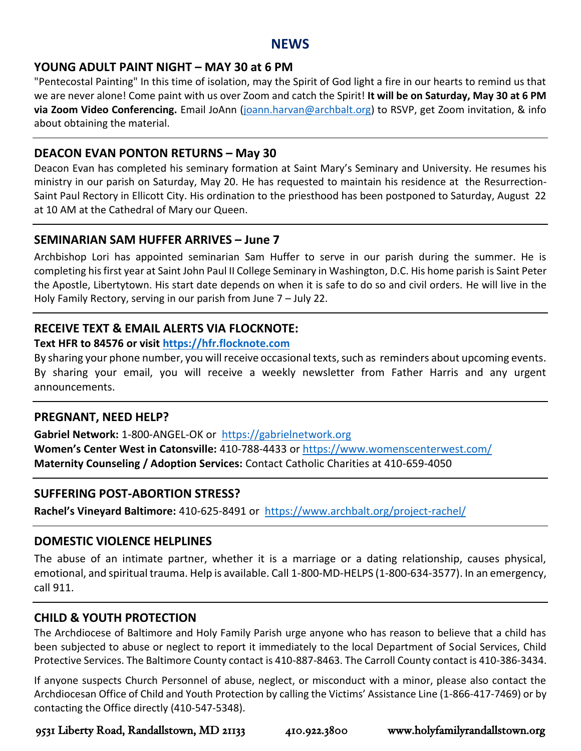#### **NEWS**

#### **YOUNG ADULT PAINT NIGHT – MAY 30 at 6 PM**

"Pentecostal Painting" In this time of isolation, may the Spirit of God light a fire in our hearts to remind us that we are never alone! Come paint with us over Zoom and catch the Spirit! **It will be on Saturday, May 30 at 6 PM via Zoom Video Conferencing.** Email JoAnn [\(joann.harvan@archbalt.org\)](mailto:joann.harvan@archbalt.org) to RSVP, get Zoom invitation, & info about obtaining the material.

#### **DEACON EVAN PONTON RETURNS – May 30**

Deacon Evan has completed his seminary formation at Saint Mary's Seminary and University. He resumes his ministry in our parish on Saturday, May 20. He has requested to maintain his residence at the Resurrection-Saint Paul Rectory in Ellicott City. His ordination to the priesthood has been postponed to Saturday, August 22 at 10 AM at the Cathedral of Mary our Queen.

#### **SEMINARIAN SAM HUFFER ARRIVES – June 7**

Archbishop Lori has appointed seminarian Sam Huffer to serve in our parish during the summer. He is completing his first year at Saint John Paul II College Seminary in Washington, D.C. His home parish is Saint Peter the Apostle, Libertytown. His start date depends on when it is safe to do so and civil orders. He will live in the Holy Family Rectory, serving in our parish from June 7 – July 22.

#### **RECEIVE TEXT & EMAIL ALERTS VIA FLOCKNOTE:**

#### **Text HFR to 84576 or visit [https://hfr.flocknote.com](https://hfr.flocknote.com/)**

By sharing your phone number, you will receive occasional texts, such as reminders about upcoming events. By sharing your email, you will receive a weekly newsletter from Father Harris and any urgent announcements.

#### **PREGNANT, NEED HELP?**

**Gabriel Network:** 1-800-ANGEL-OK or [https://gabrielnetwork.org](https://gabrielnetwork.org/) **Women's Center West in Catonsville:** 410-788-4433 or<https://www.womenscenterwest.com/> **Maternity Counseling / Adoption Services:** Contact Catholic Charities at 410-659-4050

#### **SUFFERING POST-ABORTION STRESS?**

**Rachel's Vineyard Baltimore:** 410-625-8491 or <https://www.archbalt.org/project-rachel/>

#### **DOMESTIC VIOLENCE HELPLINES**

The abuse of an intimate partner, whether it is a marriage or a dating relationship, causes physical, emotional, and spiritual trauma. Help is available. Call 1-800-MD-HELPS (1-800-634-3577). In an emergency, call 911.

#### **CHILD & YOUTH PROTECTION**

The Archdiocese of Baltimore and Holy Family Parish urge anyone who has reason to believe that a child has been subjected to abuse or neglect to report it immediately to the local Department of Social Services, Child Protective Services. The Baltimore County contact is 410-887-8463. The Carroll County contact is 410-386-3434.

If anyone suspects Church Personnel of abuse, neglect, or misconduct with a minor, please also contact the Archdiocesan Office of Child and Youth Protection by calling the Victims' Assistance Line (1-866-417-7469) or by contacting the Office directly (410-547-5348).

9531 Liberty Road, Randallstown, MD 21133 410.922.3800 www.holyfamilyrandallstown.org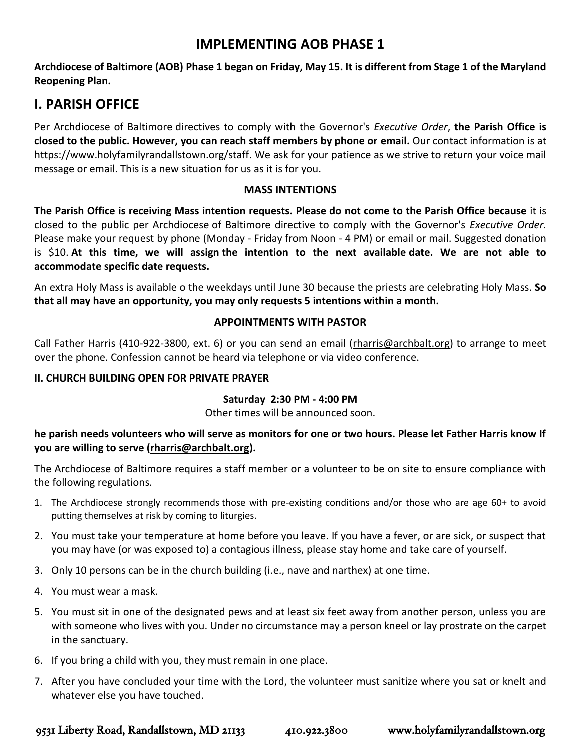# **IMPLEMENTING AOB PHASE 1**

**Archdiocese of Baltimore (AOB) Phase 1 began on Friday, May 15. It is different from Stage 1 of the Maryland Reopening Plan.**

# **I. PARISH OFFICE**

Per Archdiocese of Baltimore directives to comply with the Governor's *Executive Order*, **the Parish Office is closed to the public. However, you can reach staff members by phone or email.** Our contact information is at [https://www.holyfamilyrandallstown.org/staff.](https://www.holyfamilyrandallstown.org/staff) We ask for your patience as we strive to return your voice mail message or email. This is a new situation for us as it is for you.

#### **MASS INTENTIONS**

**The Parish Office is receiving Mass intention requests. Please do not come to the Parish Office because** it is closed to the public per Archdiocese of Baltimore directive to comply with the Governor's *Executive Order.* Please make your request by phone (Monday - Friday from Noon - 4 PM) or email or mail. Suggested donation is \$10. **At this time, we will assign the intention to the next available date. We are not able to accommodate specific date requests.**

An extra Holy Mass is available o the weekdays until June 30 because the priests are celebrating Holy Mass. **So that all may have an opportunity, you may only requests 5 intentions within a month.**

#### **APPOINTMENTS WITH PASTOR**

Call Father Harris (410-922-3800, ext. 6) or you can send an email [\(rharris@archbalt.org\)](mailto:rharris@archbalt.org) to arrange to meet over the phone. Confession cannot be heard via telephone or via video conference.

#### **II. CHURCH BUILDING OPEN FOR PRIVATE PRAYER**

#### **Saturday 2:30 PM - 4:00 PM**

Other times will be announced soon.

**he parish needs volunteers who will serve as monitors for one or two hours. Please let Father Harris know If you are willing to serve [\(rharris@archbalt.org\)](mailto:rharris@archbalt.org).**

The Archdiocese of Baltimore requires a staff member or a volunteer to be on site to ensure compliance with the following regulations.

- 1. The Archdiocese strongly recommends those with pre-existing conditions and/or those who are age 60+ to avoid putting themselves at risk by coming to liturgies.
- 2. You must take your temperature at home before you leave. If you have a fever, or are sick, or suspect that you may have (or was exposed to) a contagious illness, please stay home and take care of yourself.
- 3. Only 10 persons can be in the church building (i.e., nave and narthex) at one time.
- 4. You must wear a mask.
- 5. You must sit in one of the designated pews and at least six feet away from another person, unless you are with someone who lives with you. Under no circumstance may a person kneel or lay prostrate on the carpet in the sanctuary.
- 6. If you bring a child with you, they must remain in one place.
- 7. After you have concluded your time with the Lord, the volunteer must sanitize where you sat or knelt and whatever else you have touched.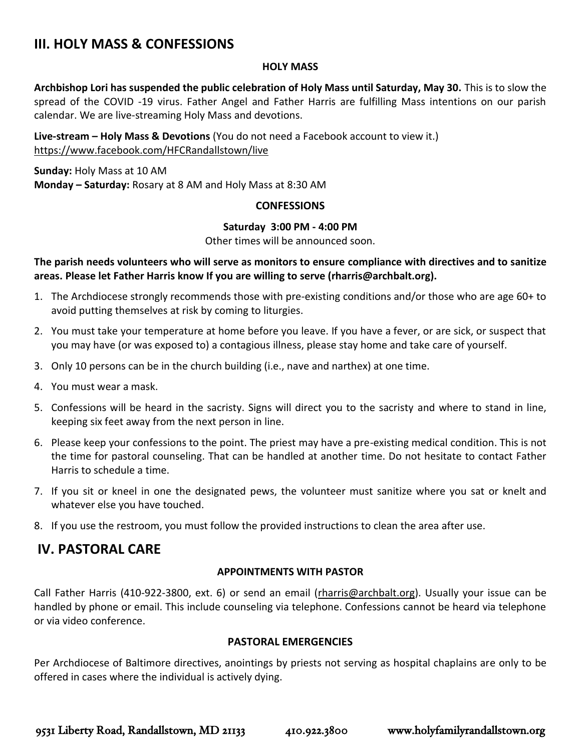# **III. HOLY MASS & CONFESSIONS**

#### **HOLY MASS**

**Archbishop Lori has suspended the public celebration of Holy Mass until Saturday, May 30.** This is to slow the spread of the COVID -19 virus. Father Angel and Father Harris are fulfilling Mass intentions on our parish calendar. We are live-streaming Holy Mass and devotions.

**Live-stream – Holy Mass & Devotions** (You do not need a Facebook account to view it.) <https://www.facebook.com/HFCRandallstown/live>

**Sunday:** Holy Mass at 10 AM **Monday – Saturday:** Rosary at 8 AM and Holy Mass at 8:30 AM

#### **CONFESSIONS**

#### **Saturday 3:00 PM - 4:00 PM**

Other times will be announced soon.

#### **The parish needs volunteers who will serve as monitors to ensure compliance with directives and to sanitize areas. Please let Father Harris know If you are willing to serve (rharris@archbalt.org).**

- 1. The Archdiocese strongly recommends those with pre-existing conditions and/or those who are age 60+ to avoid putting themselves at risk by coming to liturgies.
- 2. You must take your temperature at home before you leave. If you have a fever, or are sick, or suspect that you may have (or was exposed to) a contagious illness, please stay home and take care of yourself.
- 3. Only 10 persons can be in the church building (i.e., nave and narthex) at one time.
- 4. You must wear a mask.
- 5. Confessions will be heard in the sacristy. Signs will direct you to the sacristy and where to stand in line, keeping six feet away from the next person in line.
- 6. Please keep your confessions to the point. The priest may have a pre-existing medical condition. This is not the time for pastoral counseling. That can be handled at another time. Do not hesitate to contact Father Harris to schedule a time.
- 7. If you sit or kneel in one the designated pews, the volunteer must sanitize where you sat or knelt and whatever else you have touched.
- 8. If you use the restroom, you must follow the provided instructions to clean the area after use.

# **IV. PASTORAL CARE**

#### **APPOINTMENTS WITH PASTOR**

Call Father Harris (410-922-3800, ext. 6) or send an email [\(rharris@archbalt.org\)](mailto:rharris@archbalt.org). Usually your issue can be handled by phone or email. This include counseling via telephone. Confessions cannot be heard via telephone or via video conference.

#### **PASTORAL EMERGENCIES**

Per Archdiocese of Baltimore directives, anointings by priests not serving as hospital chaplains are only to be offered in cases where the individual is actively dying.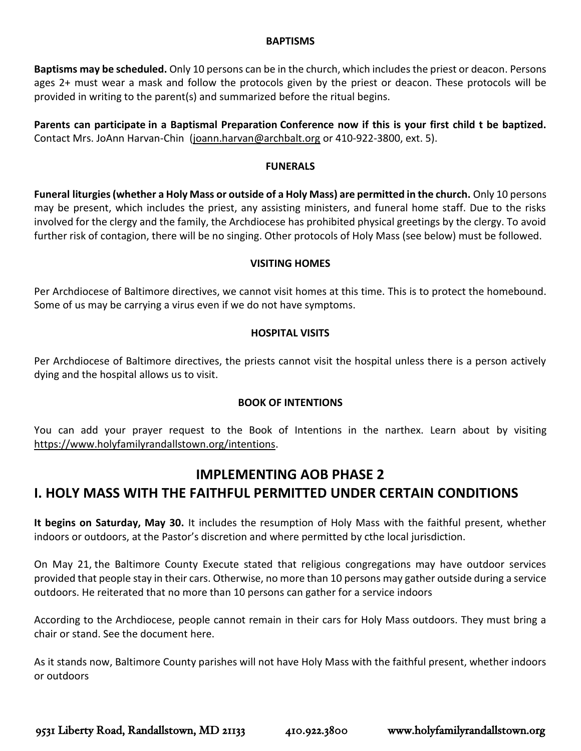#### **BAPTISMS**

**Baptisms may be scheduled.** Only 10 persons can be in the church, which includes the priest or deacon. Persons ages 2+ must wear a mask and follow the protocols given by the priest or deacon. These protocols will be provided in writing to the parent(s) and summarized before the ritual begins.

**Parents can participate in a Baptismal Preparation Conference now if this is your first child t be baptized.**  Contact Mrs. JoAnn Harvan-Chin [\(joann.harvan@archbalt.org](mailto:joann.harvan@archbalt.org) or 410-922-3800, ext. 5).

#### **FUNERALS**

**Funeral liturgies (whether a Holy Mass or outside of a Holy Mass) are permitted in the church.** Only 10 persons may be present, which includes the priest, any assisting ministers, and funeral home staff. Due to the risks involved for the clergy and the family, the Archdiocese has prohibited physical greetings by the clergy. To avoid further risk of contagion, there will be no singing. Other protocols of Holy Mass (see below) must be followed.

#### **VISITING HOMES**

Per Archdiocese of Baltimore directives, we cannot visit homes at this time. This is to protect the homebound. Some of us may be carrying a virus even if we do not have symptoms.

#### **HOSPITAL VISITS**

Per Archdiocese of Baltimore directives, the priests cannot visit the hospital unless there is a person actively dying and the hospital allows us to visit.

#### **BOOK OF INTENTIONS**

You can add your prayer request to the Book of Intentions in the narthex. Learn about by visiting [https://www.holyfamilyrandallstown.org/intentions.](https://www.holyfamilyrandallstown.org/intentions)

## **IMPLEMENTING AOB PHASE 2 I. HOLY MASS WITH THE FAITHFUL PERMITTED UNDER CERTAIN CONDITIONS**

**It begins on Saturday, May 30.** It includes the resumption of Holy Mass with the faithful present, whether indoors or outdoors, at the Pastor's discretion and where permitted by cthe local jurisdiction.

On May 21, the Baltimore County Execute stated that religious congregations may have outdoor services provided that people stay in their cars. Otherwise, no more than 10 persons may gather outside during a service outdoors. He reiterated that no more than 10 persons can gather for a service indoors

According to the Archdiocese, people cannot remain in their cars for Holy Mass outdoors. They must bring a chair or stand. See the document here.

As it stands now, Baltimore County parishes will not have Holy Mass with the faithful present, whether indoors or outdoors